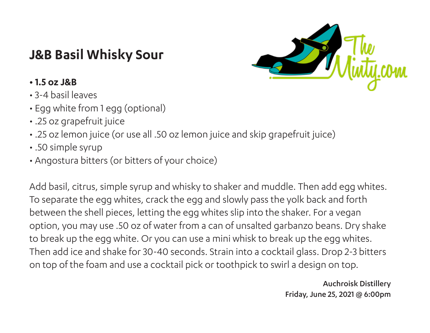## **J&B Basil Whisky Sour**



## **• 1.5 oz J&B**

- 3-4 basil leaves
- Egg white from 1 egg (optional)
- .25 oz grapefruit juice
- .25 oz lemon juice (or use all .50 oz lemon juice and skip grapefruit juice)
- .50 simple syrup
- Angostura bitters (or bitters of your choice)

Add basil, citrus, simple syrup and whisky to shaker and muddle. Then add egg whites. To separate the egg whites, crack the egg and slowly pass the yolk back and forth between the shell pieces, letting the egg whites slip into the shaker. For a vegan option, you may use .50 oz of water from a can of unsalted garbanzo beans. Dry shake to break up the egg white. Or you can use a mini whisk to break up the egg whites. Then add ice and shake for 30-40 seconds. Strain into a cocktail glass. Drop 2-3 bitters on top of the foam and use a cocktail pick or toothpick to swirl a design on top.

> Auchroisk Distillery Friday, June 25, 2021 @ 6:00pm